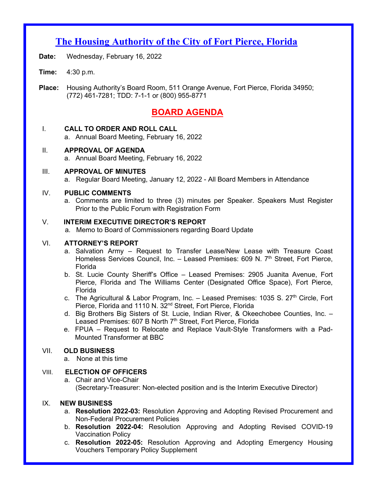# **The Housing Authority of the City of Fort Pierce, Florida**

- **Date:** Wednesday, February 16, 2022
- **Time:** 4:30 p.m.
- **Place:** Housing Authority's Board Room, 511 Orange Avenue, Fort Pierce, Florida 34950; (772) 461-7281; TDD: 7-1-1 or (800) 955-8771

# **BOARD AGENDA**

# I. **CALL TO ORDER AND ROLL CALL**

a. Annual Board Meeting, February 16, 2022

- II. **APPROVAL OF AGENDA**
	- a. Annual Board Meeting, February 16, 2022

## III. **APPROVAL OF MINUTES**

a. Regular Board Meeting, January 12, 2022 - All Board Members in Attendance

## IV. **PUBLIC COMMENTS**

a. Comments are limited to three (3) minutes per Speaker. Speakers Must Register Prior to the Public Forum with Registration Form

#### V. **INTERIM EXECUTIVE DIRECTOR'S REPORT**

a. Memo to Board of Commissioners regarding Board Update<br>VI. ATTORNEY'S REPORT

#### VI. **ATTORNEY'S REPORT**

- a. Salvation Army Request to Transfer Lease/New Lease with Treasure Coast Homeless Services Council, Inc. – Leased Premises: 609 N.  $7<sup>th</sup>$  Street, Fort Pierce, Florida
- b. St. Lucie County Sheriff's Office Leased Premises: 2905 Juanita Avenue, Fort Pierce, Florida and The Williams Center (Designated Office Space), Fort Pierce, Florida
- c. The Agricultural & Labor Program, Inc.  $-$  Leased Premises: 1035 S. 27<sup>th</sup> Circle, Fort Pierce, Florida and 1110 N. 32<sup>nd</sup> Street, Fort Pierce, Florida
- d. Big Brothers Big Sisters of St. Lucie, Indian River, & Okeechobee Counties, Inc. Leased Premises: 607 B North 7<sup>th</sup> Street, Fort Pierce, Florida
- e. FPUA Request to Relocate and Replace Vault-Style Transformers with a Pad-Mounted Transformer at BBC

## VII. **OLD BUSINESS**

a. None at this time

## VIII. **ELECTION OF OFFICERS**

a. Chair and Vice-Chair (Secretary-Treasurer: Non-elected position and is the Interim Executive Director)

## IX. **NEW BUSINESS**

- a. **Resolution 2022-03:** Resolution Approving and Adopting Revised Procurement and Non-Federal Procurement Policies
- b. **Resolution 2022-04:** Resolution Approving and Adopting Revised COVID-19 Vaccination Policy
- c. **Resolution 2022-05:** Resolution Approving and Adopting Emergency Housing Vouchers Temporary Policy Supplement